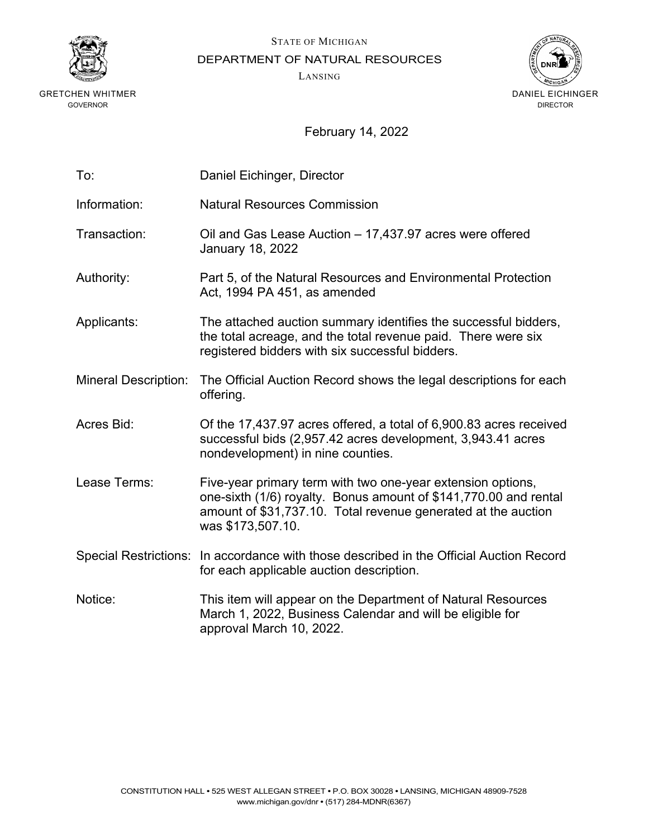

STATE OF MICHIGAN

DEPARTMENT OF NATURAL RESOURCES

LANSING



| To:                         | Daniel Eichinger, Director                                                                                                                                                                                            |
|-----------------------------|-----------------------------------------------------------------------------------------------------------------------------------------------------------------------------------------------------------------------|
| Information:                | <b>Natural Resources Commission</b>                                                                                                                                                                                   |
| Transaction:                | Oil and Gas Lease Auction – 17,437.97 acres were offered<br><b>January 18, 2022</b>                                                                                                                                   |
| Authority:                  | Part 5, of the Natural Resources and Environmental Protection<br>Act, 1994 PA 451, as amended                                                                                                                         |
| Applicants:                 | The attached auction summary identifies the successful bidders,<br>the total acreage, and the total revenue paid. There were six<br>registered bidders with six successful bidders.                                   |
| <b>Mineral Description:</b> | The Official Auction Record shows the legal descriptions for each<br>offering.                                                                                                                                        |
| <b>Acres Bid:</b>           | Of the 17,437.97 acres offered, a total of 6,900.83 acres received<br>successful bids (2,957.42 acres development, 3,943.41 acres<br>nondevelopment) in nine counties.                                                |
| Lease Terms:                | Five-year primary term with two one-year extension options,<br>one-sixth (1/6) royalty. Bonus amount of \$141,770.00 and rental<br>amount of \$31,737.10. Total revenue generated at the auction<br>was \$173,507.10. |
|                             | Special Restrictions: In accordance with those described in the Official Auction Record<br>for each applicable auction description.                                                                                   |
| Notice:                     | This item will appear on the Department of Natural Resources<br>March 1, 2022, Business Calendar and will be eligible for<br>approval March 10, 2022.                                                                 |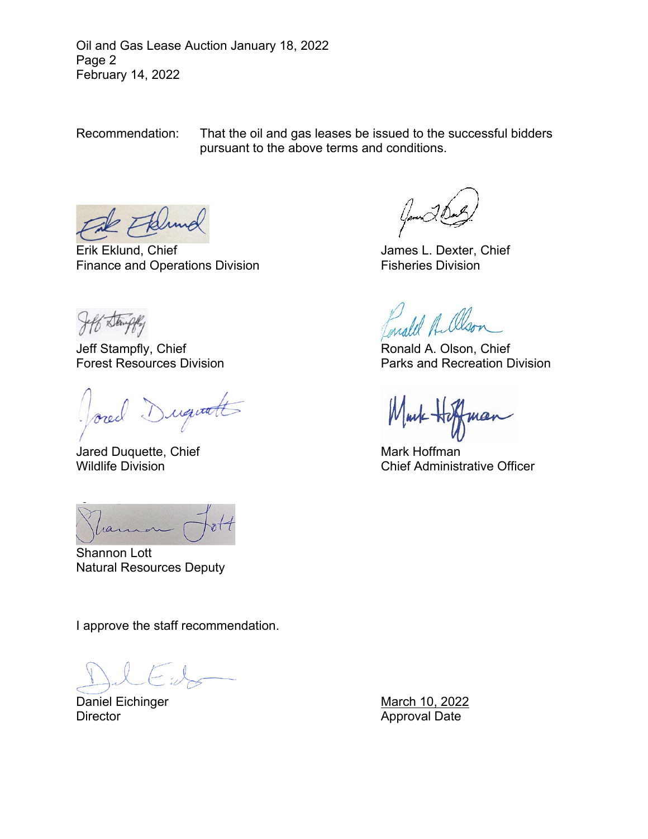Oil and Gas Lease Auction January 18, 2022 Page 2 February 14, 2022

Recommendation: That the oil and gas leases be issued to the successful bidders pursuant to the above terms and conditions.

Erik Eklund, Chief **James L. Dexter, Chief** Finance and Operations Division Fisheries Division

Jeff Stampfly, Chief (1999) Jeff Stampfly, Chief (1999) Ronald A. Olson, Chief (1999) Ronald A. Olson, Chief (

request

Jared Duquette, Chief Mark Hoffman

ran

Shannon Lott Natural Resources Deputy

I approve the staff recommendation.

Daniel Eichinger March 10, 2022 Director **Approval Date** 

Parks and Recreation Division

Wildlife Division **Chief Administrative Officer** Chief Administrative Officer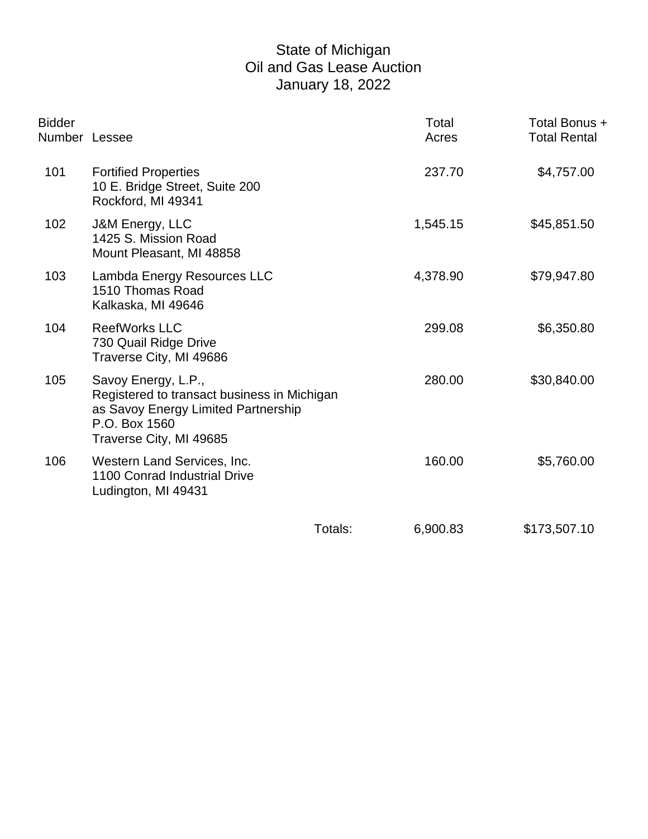## State of Michigan Oil and Gas Lease Auction January 18, 2022

| <b>Bidder</b><br>Number Lessee |                                                                                                                                                       |         | Total<br>Acres | Total Bonus +<br><b>Total Rental</b> |
|--------------------------------|-------------------------------------------------------------------------------------------------------------------------------------------------------|---------|----------------|--------------------------------------|
| 101                            | <b>Fortified Properties</b><br>10 E. Bridge Street, Suite 200<br>Rockford, MI 49341                                                                   |         | 237.70         | \$4,757.00                           |
| 102                            | J&M Energy, LLC<br>1425 S. Mission Road<br>Mount Pleasant, MI 48858                                                                                   |         | 1,545.15       | \$45,851.50                          |
| 103                            | Lambda Energy Resources LLC<br>1510 Thomas Road<br>Kalkaska, MI 49646                                                                                 |         | 4,378.90       | \$79,947.80                          |
| 104                            | <b>ReefWorks LLC</b><br>730 Quail Ridge Drive<br>Traverse City, MI 49686                                                                              |         | 299.08         | \$6,350.80                           |
| 105                            | Savoy Energy, L.P.,<br>Registered to transact business in Michigan<br>as Savoy Energy Limited Partnership<br>P.O. Box 1560<br>Traverse City, MI 49685 |         | 280.00         | \$30,840.00                          |
| 106                            | Western Land Services, Inc.<br>1100 Conrad Industrial Drive<br>Ludington, MI 49431                                                                    |         | 160.00         | \$5,760.00                           |
|                                |                                                                                                                                                       | Totals: | 6,900.83       | \$173,507.10                         |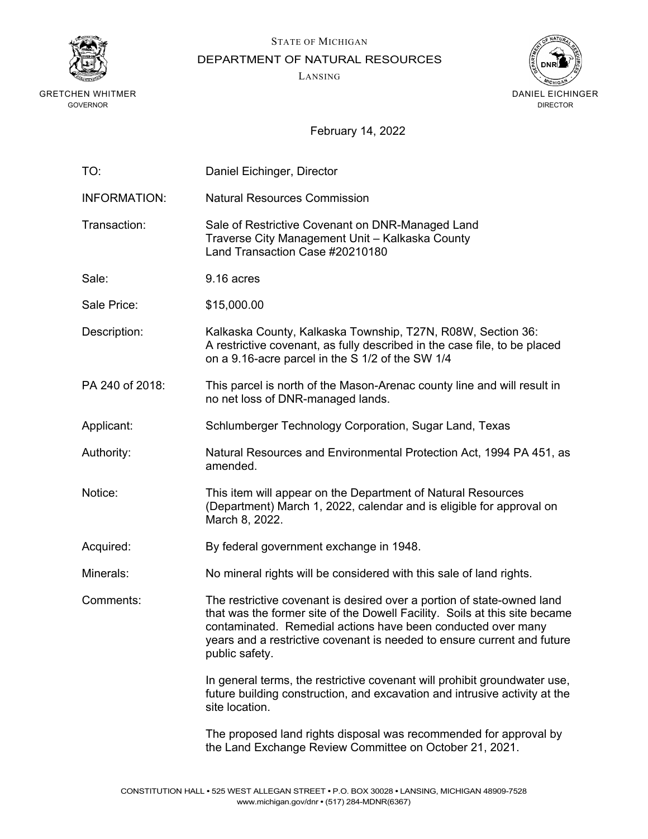

STATE OF MICHIGAN

DEPARTMENT OF NATURAL RESOURCES

LANSING



| TO:                 | Daniel Eichinger, Director                                                                                                                                                                                                                                                                                        |
|---------------------|-------------------------------------------------------------------------------------------------------------------------------------------------------------------------------------------------------------------------------------------------------------------------------------------------------------------|
| <b>INFORMATION:</b> | <b>Natural Resources Commission</b>                                                                                                                                                                                                                                                                               |
| Transaction:        | Sale of Restrictive Covenant on DNR-Managed Land<br>Traverse City Management Unit - Kalkaska County<br>Land Transaction Case #20210180                                                                                                                                                                            |
| Sale:               | 9.16 acres                                                                                                                                                                                                                                                                                                        |
| Sale Price:         | \$15,000.00                                                                                                                                                                                                                                                                                                       |
| Description:        | Kalkaska County, Kalkaska Township, T27N, R08W, Section 36:<br>A restrictive covenant, as fully described in the case file, to be placed<br>on a 9.16-acre parcel in the S 1/2 of the SW 1/4                                                                                                                      |
| PA 240 of 2018:     | This parcel is north of the Mason-Arenac county line and will result in<br>no net loss of DNR-managed lands.                                                                                                                                                                                                      |
| Applicant:          | Schlumberger Technology Corporation, Sugar Land, Texas                                                                                                                                                                                                                                                            |
| Authority:          | Natural Resources and Environmental Protection Act, 1994 PA 451, as<br>amended.                                                                                                                                                                                                                                   |
| Notice:             | This item will appear on the Department of Natural Resources<br>(Department) March 1, 2022, calendar and is eligible for approval on<br>March 8, 2022.                                                                                                                                                            |
| Acquired:           | By federal government exchange in 1948.                                                                                                                                                                                                                                                                           |
| Minerals:           | No mineral rights will be considered with this sale of land rights.                                                                                                                                                                                                                                               |
| Comments:           | The restrictive covenant is desired over a portion of state-owned land<br>that was the former site of the Dowell Facility. Soils at this site became<br>contaminated. Remedial actions have been conducted over many<br>years and a restrictive covenant is needed to ensure current and future<br>public safety. |
|                     | In general terms, the restrictive covenant will prohibit groundwater use,<br>future building construction, and excavation and intrusive activity at the<br>site location.                                                                                                                                         |
|                     | The proposed land rights disposal was recommended for approval by<br>the Land Exchange Review Committee on October 21, 2021.                                                                                                                                                                                      |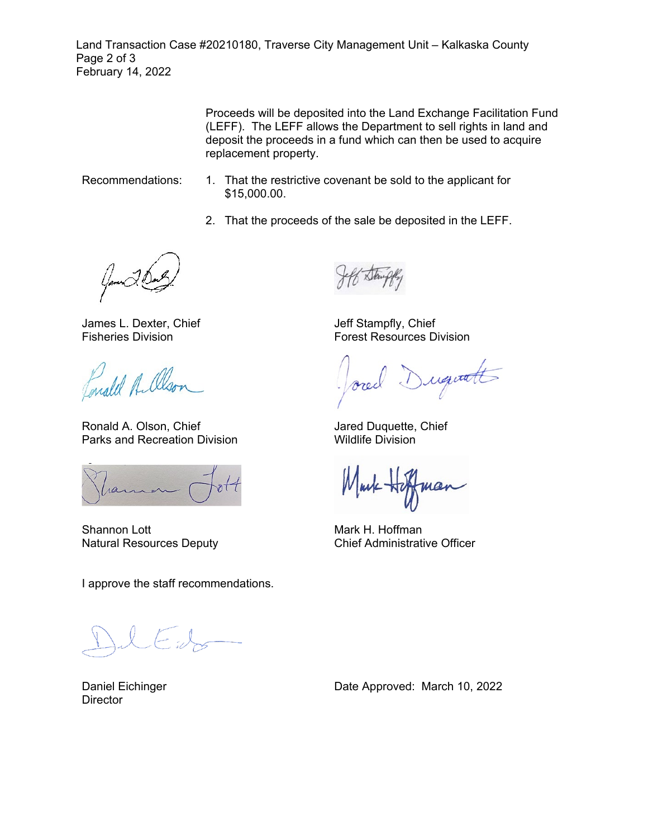Land Transaction Case #20210180, Traverse City Management Unit – Kalkaska County Page 2 of 3 February 14, 2022

> Proceeds will be deposited into the Land Exchange Facilitation Fund (LEFF). The LEFF allows the Department to sell rights in land and deposit the proceeds in a fund which can then be used to acquire replacement property.

- Recommendations: 1. That the restrictive covenant be sold to the applicant for \$15,000.00.
	- 2. That the proceeds of the sale be deposited in the LEFF.

James L. Dexter, Chief Fisheries Division

Ponald A. Olso.

Ronald A. Olson, Chief Parks and Recreation Division

Shannon Lott Natural Resources Deputy

I approve the staff recommendations.

Daniel Eichinger **Director** 

Date Approved: March 10, 2022

Jeff Stampfly, Chief Forest Resources Division

Duquatt

Jared Duquette, Chief Wildlife Division

Mark H. Hoffman Chief Administrative Officer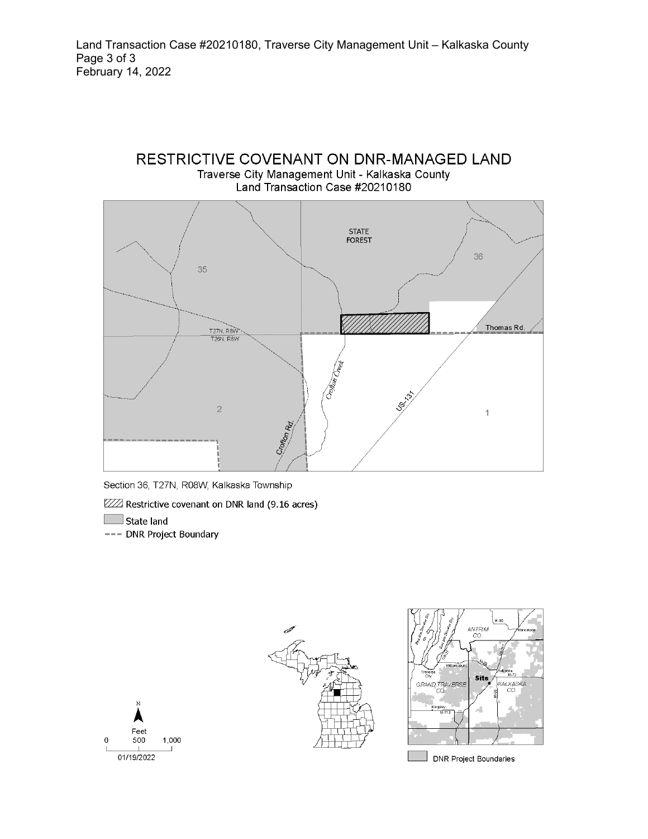



Section 36, T27N, R08W, Kalkaska Township

ZZZ Restrictive covenant on DNR land (9.16 acres)

State land

--- DNR Project Boundary







**DNR Project Boundaries**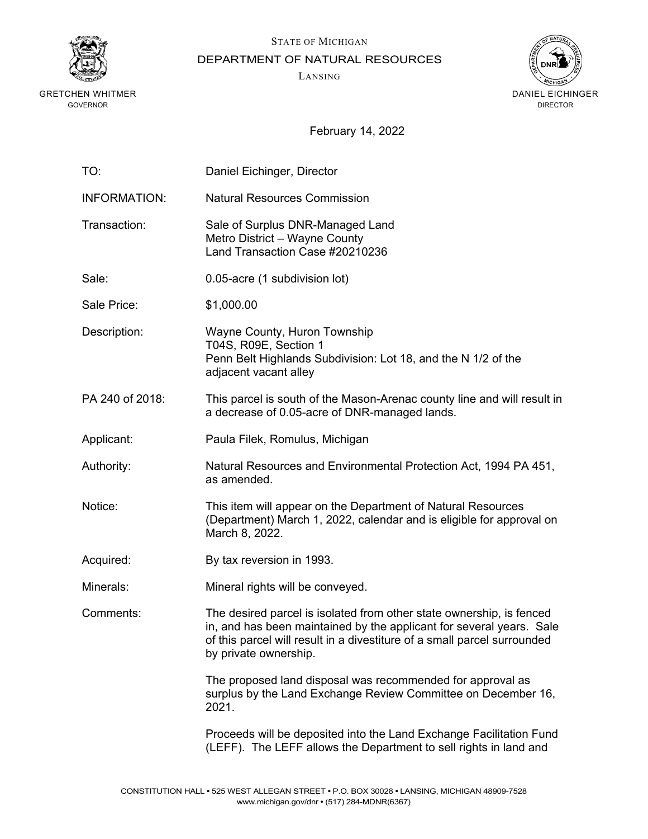

STATE OF MICHIGAN

DEPARTMENT OF NATURAL RESOURCES

LANSING



| TO:                 | Daniel Eichinger, Director                                                                                                                                                                                                                        |
|---------------------|---------------------------------------------------------------------------------------------------------------------------------------------------------------------------------------------------------------------------------------------------|
| <b>INFORMATION:</b> | <b>Natural Resources Commission</b>                                                                                                                                                                                                               |
| Transaction:        | Sale of Surplus DNR-Managed Land<br>Metro District - Wayne County<br>Land Transaction Case #20210236                                                                                                                                              |
| Sale:               | 0.05-acre (1 subdivision lot)                                                                                                                                                                                                                     |
| Sale Price:         | \$1,000.00                                                                                                                                                                                                                                        |
| Description:        | Wayne County, Huron Township<br>T04S, R09E, Section 1<br>Penn Belt Highlands Subdivision: Lot 18, and the N 1/2 of the<br>adjacent vacant alley                                                                                                   |
| PA 240 of 2018:     | This parcel is south of the Mason-Arenac county line and will result in<br>a decrease of 0.05-acre of DNR-managed lands.                                                                                                                          |
| Applicant:          | Paula Filek, Romulus, Michigan                                                                                                                                                                                                                    |
| Authority:          | Natural Resources and Environmental Protection Act, 1994 PA 451,<br>as amended.                                                                                                                                                                   |
| Notice:             | This item will appear on the Department of Natural Resources<br>(Department) March 1, 2022, calendar and is eligible for approval on<br>March 8, 2022.                                                                                            |
| Acquired:           | By tax reversion in 1993.                                                                                                                                                                                                                         |
| Minerals:           | Mineral rights will be conveyed.                                                                                                                                                                                                                  |
| Comments:           | The desired parcel is isolated from other state ownership, is fenced<br>in, and has been maintained by the applicant for several years. Sale<br>of this parcel will result in a divestiture of a small parcel surrounded<br>by private ownership. |
|                     | The proposed land disposal was recommended for approval as<br>surplus by the Land Exchange Review Committee on December 16,<br>2021.                                                                                                              |
|                     | Proceeds will be deposited into the Land Exchange Facilitation Fund<br>(LEFF). The LEFF allows the Department to sell rights in land and                                                                                                          |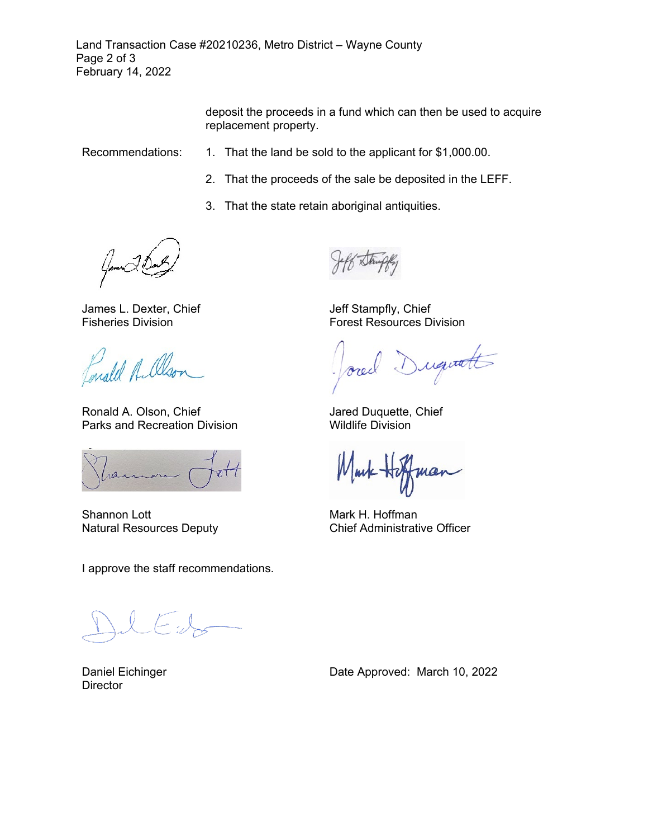Land Transaction Case #20210236, Metro District – Wayne County Page 2 of 3 February 14, 2022

> deposit the proceeds in a fund which can then be used to acquire replacement property.

- Recommendations: 1. That the land be sold to the applicant for \$1,000.00.
	- 2. That the proceeds of the sale be deposited in the LEFF.
	- 3. That the state retain aboriginal antiquities.

James L. Dexter, Chief Fisheries Division

male A. Olson

Ronald A. Olson, Chief Parks and Recreation Division

ran

Shannon Lott Natural Resources Deputy

I approve the staff recommendations.

 $(-,)$ 

Daniel Eichinger **Director** 

Jeff Stampfly, Chief Forest Resources Division

iquatt

Jared Duquette, Chief Wildlife Division

ua

Mark H. Hoffman Chief Administrative Officer

Date Approved: March 10, 2022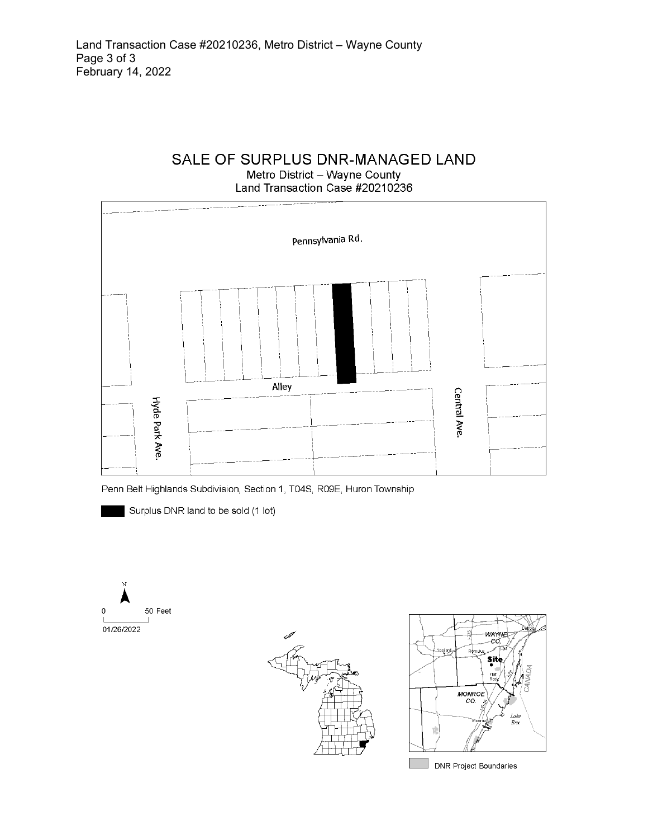# SALE OF SURPLUS DNR-MANAGED LAND Metro District - Wayne County

Land Transaction Case #20210236



Penn Belt Highlands Subdivision, Section 1, T04S, R09E, Huron Township

Surplus DNR land to be sold (1 lot)







**DNR Project Boundaries**  $\overline{\phantom{a}}$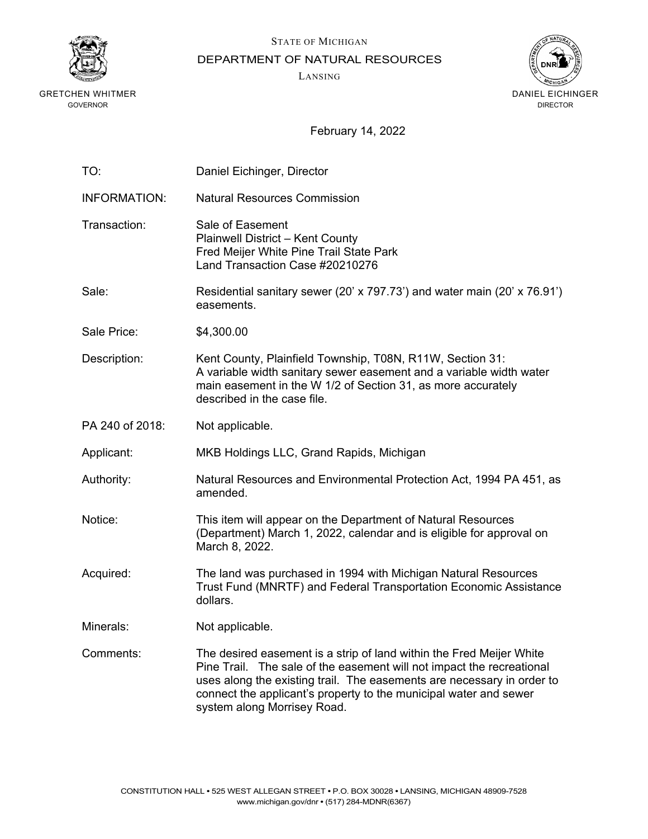

STATE OF MICHIGAN

DEPARTMENT OF NATURAL RESOURCES

LANSING



| TO:                 | Daniel Eichinger, Director                                                                                                                                                                                                                                                                                                  |
|---------------------|-----------------------------------------------------------------------------------------------------------------------------------------------------------------------------------------------------------------------------------------------------------------------------------------------------------------------------|
| <b>INFORMATION:</b> | <b>Natural Resources Commission</b>                                                                                                                                                                                                                                                                                         |
| Transaction:        | Sale of Easement<br><b>Plainwell District - Kent County</b><br>Fred Meijer White Pine Trail State Park<br>Land Transaction Case #20210276                                                                                                                                                                                   |
| Sale:               | Residential sanitary sewer (20' x 797.73') and water main (20' x 76.91')<br>easements.                                                                                                                                                                                                                                      |
| Sale Price:         | \$4,300.00                                                                                                                                                                                                                                                                                                                  |
| Description:        | Kent County, Plainfield Township, T08N, R11W, Section 31:<br>A variable width sanitary sewer easement and a variable width water<br>main easement in the W 1/2 of Section 31, as more accurately<br>described in the case file.                                                                                             |
| PA 240 of 2018:     | Not applicable.                                                                                                                                                                                                                                                                                                             |
| Applicant:          | MKB Holdings LLC, Grand Rapids, Michigan                                                                                                                                                                                                                                                                                    |
| Authority:          | Natural Resources and Environmental Protection Act, 1994 PA 451, as<br>amended.                                                                                                                                                                                                                                             |
| Notice:             | This item will appear on the Department of Natural Resources<br>(Department) March 1, 2022, calendar and is eligible for approval on<br>March 8, 2022.                                                                                                                                                                      |
| Acquired:           | The land was purchased in 1994 with Michigan Natural Resources<br>Trust Fund (MNRTF) and Federal Transportation Economic Assistance<br>dollars.                                                                                                                                                                             |
| Minerals:           | Not applicable.                                                                                                                                                                                                                                                                                                             |
| Comments:           | The desired easement is a strip of land within the Fred Meijer White<br>Pine Trail. The sale of the easement will not impact the recreational<br>uses along the existing trail. The easements are necessary in order to<br>connect the applicant's property to the municipal water and sewer<br>system along Morrisey Road. |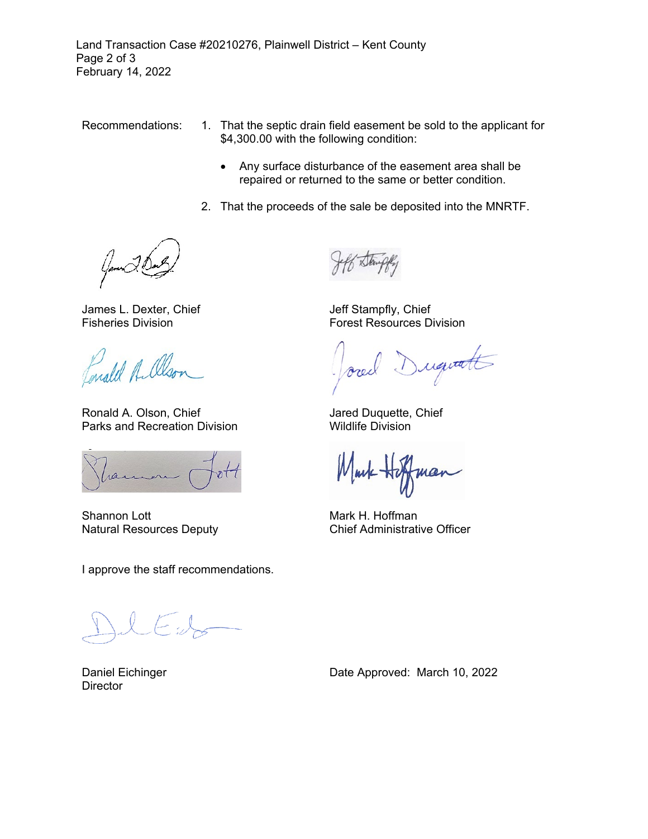Land Transaction Case #20210276, Plainwell District – Kent County Page 2 of 3 February 14, 2022

- Recommendations: 1. That the septic drain field easement be sold to the applicant for \$4,300.00 with the following condition:
	- Any surface disturbance of the easement area shall be repaired or returned to the same or better condition.
	- 2. That the proceeds of the sale be deposited into the MNRTF.

James L. Dexter, Chief Fisheries Division

Enald A. Olson

Ronald A. Olson, Chief Parks and Recreation Division

ran

Shannon Lott Natural Resources Deputy

I approve the staff recommendations.

 $\left(\rightarrow\right)$ 

Daniel Eichinger **Director** 

Jeff Stampfly, Chief Forest Resources Division

Duquatt

Jared Duquette, Chief Wildlife Division

Mark H. Hoffman Chief Administrative Officer

Date Approved: March 10, 2022